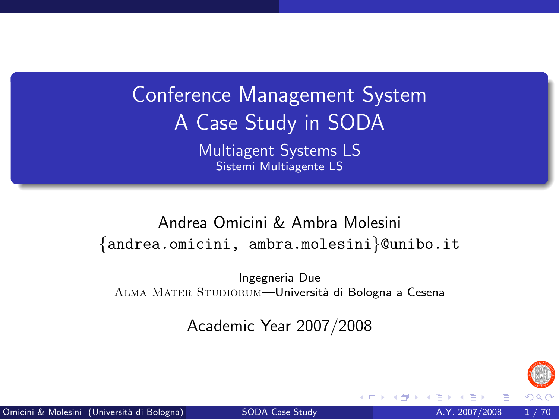Conference Management System A Case Study in SODA Multiagent Systems LS Sistemi Multiagente LS

Andrea Omicini & Ambra Molesini {andrea.omicini, ambra.molesini}@unibo.it

Ingegneria Due ALMA MATER STUDIORUM—Università di Bologna a Cesena

Academic Year 2007/2008

<span id="page-0-0"></span>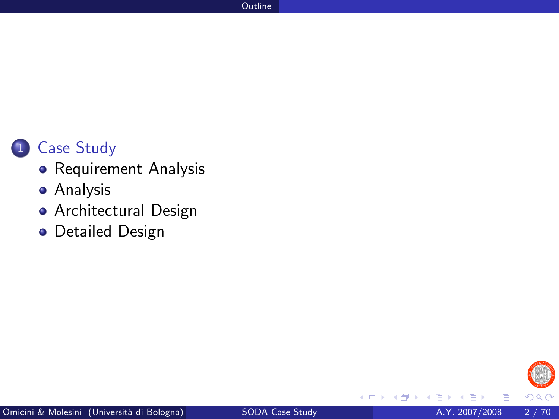

- [Requirement Analysis](#page-6-0)
- [Analysis](#page-16-0)
- [Architectural Design](#page-34-0)
- **•** [Detailed Design](#page-56-0)



4 0 8

×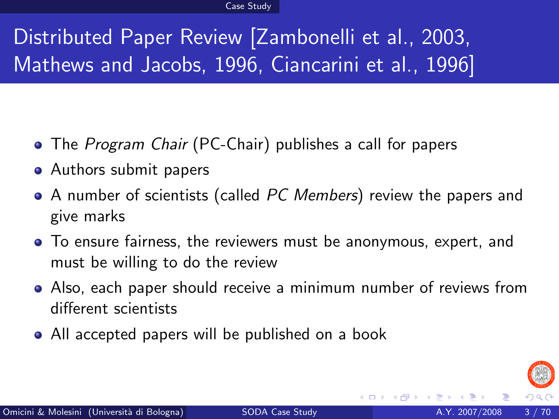# Distributed Paper Review [\[Zambonelli et al., 2003,](#page-68-0) [Mathews and Jacobs, 1996,](#page-68-1) [Ciancarini et al., 1996\]](#page-68-2)

- The *Program Chair* (PC-Chair) publishes a call for papers
- Authors submit papers
- A number of scientists (called PC Members) review the papers and give marks
- To ensure fairness, the reviewers must be anonymous, expert, and must be willing to do the review
- Also, each paper should receive a minimum number of reviews from different scientists
- All accepted papers will be published on a book

<span id="page-2-0"></span>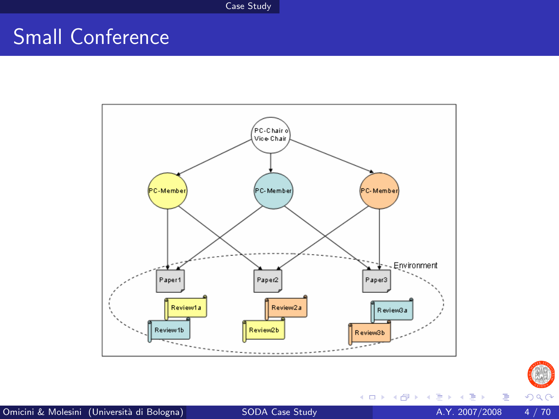# Small Conference





×

Þ

**4 ロト 4 何 ト 4**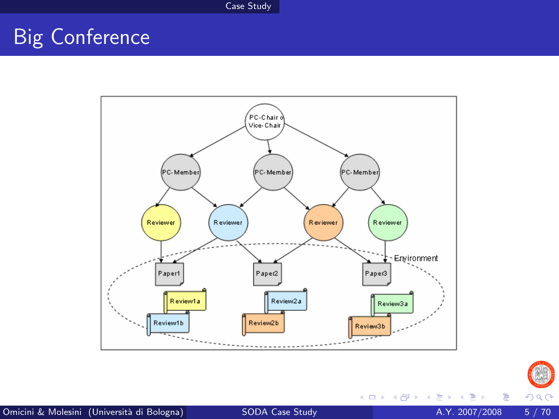# Big Conference





目

 $\rightarrow$   $\equiv$   $\rightarrow$ 

 $\rightarrow$ 

**K ロ ▶ K 御 ▶ K 舌**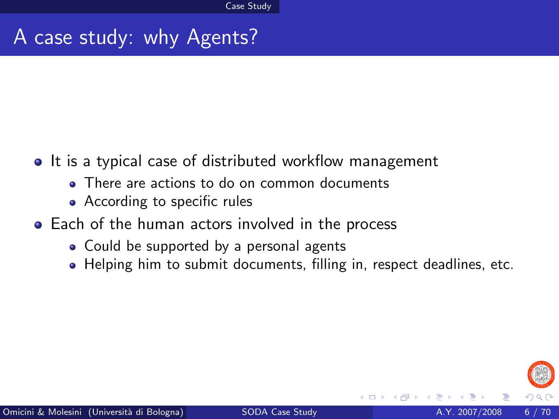#### A case study: why Agents?

- It is a typical case of distributed workflow management
	- There are actions to do on common documents
	- According to specific rules
- **•** Each of the human actors involved in the process
	- Could be supported by a personal agents
	- Helping him to submit documents, filling in, respect deadlines, etc.

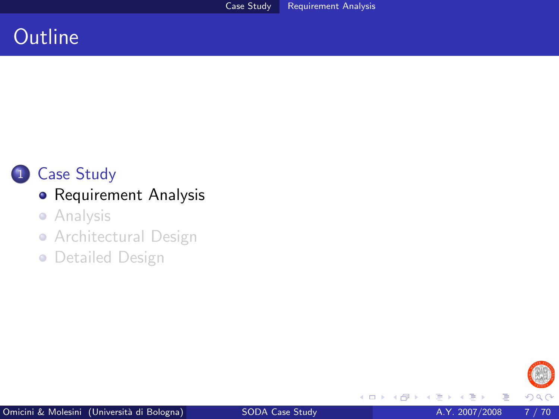#### **Outline**



#### 1 [Case Study](#page-2-0)

#### **•** [Requirement Analysis](#page-6-0)

- **•** [Analysis](#page-16-0)
- [Architectural Design](#page-34-0)
- **[Detailed Design](#page-56-0)**

<span id="page-6-0"></span>

4 0 8 ×.  $\rightarrow$  ≃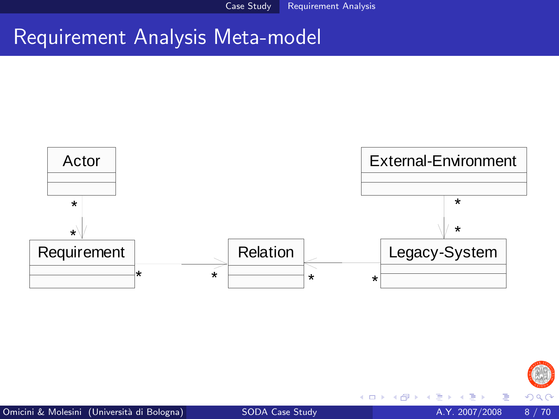#### Requirement Analysis Meta-model





4 日下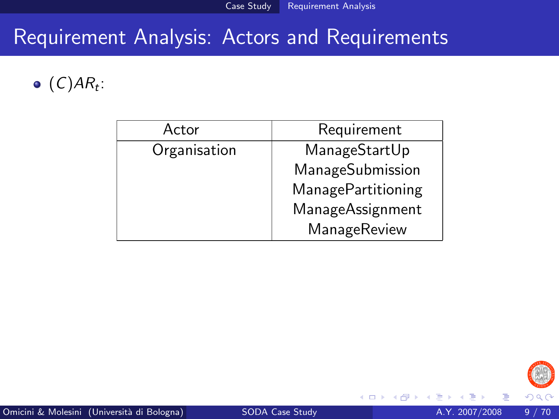## Requirement Analysis: Actors and Requirements

 $(C)AR_t$ :

| Actor        | Requirement               |
|--------------|---------------------------|
| Organisation | ManageStartUp             |
|              | ManageSubmission          |
|              | <b>ManagePartitioning</b> |
|              | <b>ManageAssignment</b>   |
|              | ManageReview              |



4 0 8 ×. **SILLER**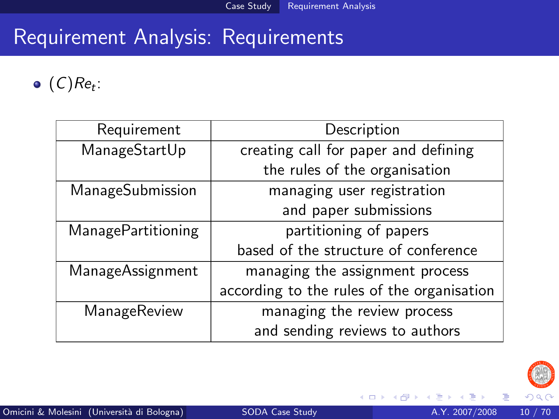## Requirement Analysis: Requirements

 $(C)Re_t$ :

| Requirement        | Description                                |
|--------------------|--------------------------------------------|
| ManageStartUp      | creating call for paper and defining       |
|                    | the rules of the organisation              |
| ManageSubmission   | managing user registration                 |
|                    | and paper submissions                      |
| ManagePartitioning | partitioning of papers                     |
|                    | based of the structure of conference       |
| ManageAssignment   | managing the assignment process            |
|                    | according to the rules of the organisation |
| ManageReview       | managing the review process                |
|                    | and sending reviews to authors             |



4 0 8 × **SILLER**  E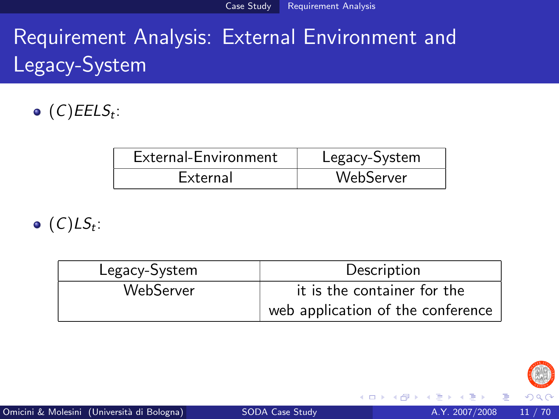# Requirement Analysis: External Environment and Legacy-System

 $(C)$ EEL $S_t$ :

| External-Environment | Legacy-System |
|----------------------|---------------|
| External             | WebServer     |

 $(C) LS_t$ :

| Legacy-System | Description                       |
|---------------|-----------------------------------|
| WebServer     | it is the container for the       |
|               | web application of the conference |



4 0 8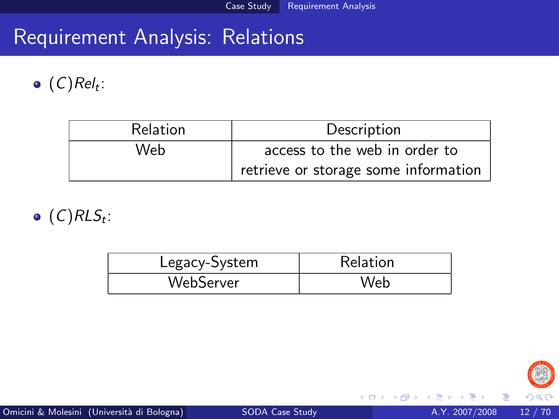## Requirement Analysis: Relations

 $(C)$ Rel<sub>t</sub>:

| <b>Relation</b> | Description                          |
|-----------------|--------------------------------------|
| Web             | access to the web in order to        |
|                 | retrieve or storage some information |

 $(C)$ RL $S_t$ :

| Legacy-System | Relation |
|---------------|----------|
| WebServer     | Web      |



4 D F

- ∢ 母 → →

×

活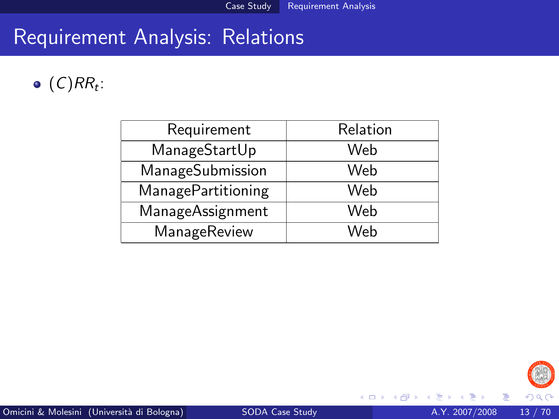### Requirement Analysis: Relations

#### $(C)RR_t$ :

| Requirement               | Relation |
|---------------------------|----------|
| ManageStartUp             | Web      |
| ManageSubmission          | Web      |
| <b>ManagePartitioning</b> | Web      |
| <b>ManageAssignment</b>   | Web      |
| ManageReview              | Web      |



×

活

**4 ロト 4 何ト**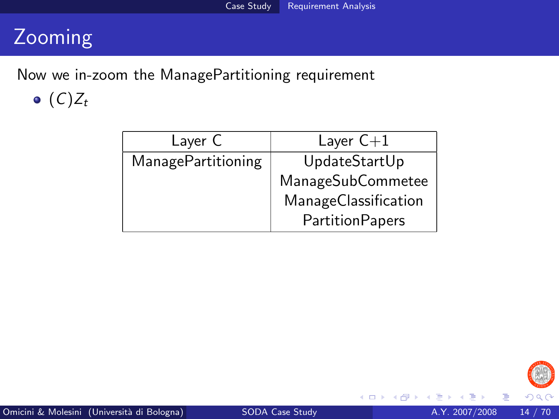## Zooming

Now we in-zoom the ManagePartitioning requirement  $\bullet$   $(C)Z_t$ 

| Laver C                   | Layer $C+1$            |
|---------------------------|------------------------|
| <b>ManagePartitioning</b> | UpdateStartUp          |
|                           | ManageSubCommetee      |
|                           | ManageClassification   |
|                           | <b>PartitionPapers</b> |



4 0 8 ×.  $\rightarrow$  目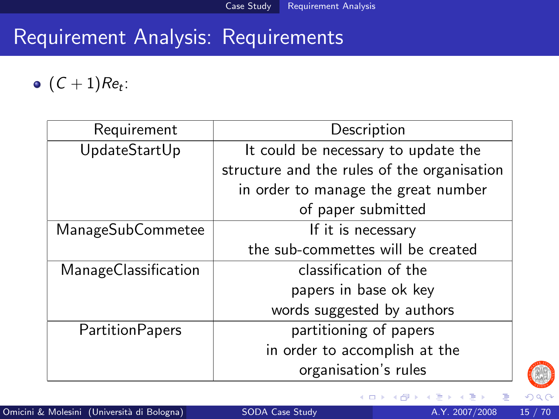## Requirement Analysis: Requirements

 $(C+1)Re_t$ :

| Requirement            | Description                                 |
|------------------------|---------------------------------------------|
| UpdateStartUp          | It could be necessary to update the         |
|                        | structure and the rules of the organisation |
|                        | in order to manage the great number         |
|                        | of paper submitted                          |
| ManageSubCommetee      | If it is necessary                          |
|                        | the sub-commettes will be created           |
| ManageClassification   | classification of the                       |
|                        | papers in base ok key                       |
|                        | words suggested by authors                  |
| <b>PartitionPapers</b> | partitioning of papers                      |
|                        | in order to accomplish at the               |
|                        | organisation's rules                        |



4 0 8 ×.  $\rightarrow$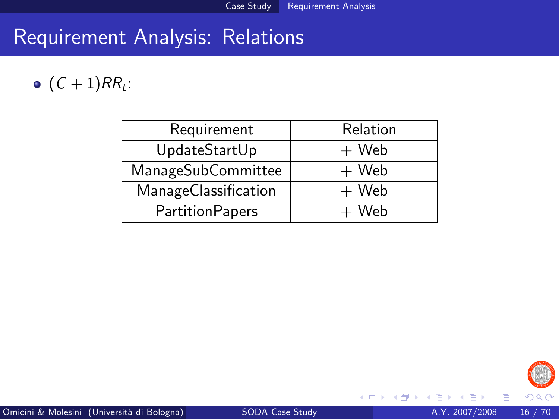## Requirement Analysis: Relations

#### $(C+1)RR_t$ :

| Requirement            | Relation |
|------------------------|----------|
| UpdateStartUp          | $+$ Web  |
| ManageSubCommittee     | $+$ Web  |
| ManageClassification   | $+$ Web  |
| <b>PartitionPapers</b> | $+$ Web  |



4 D F

-∢ n →

目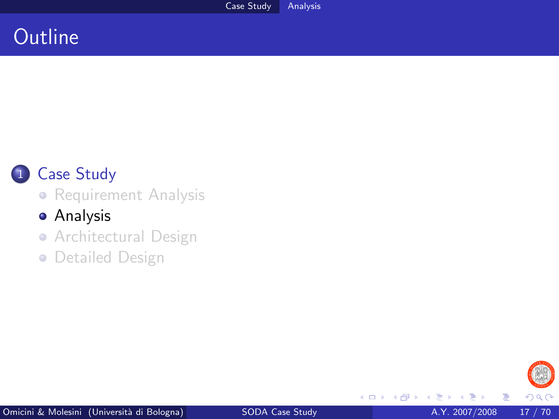## **Outline**



#### 1 [Case Study](#page-2-0)

**•** [Requirement Analysis](#page-6-0)

#### **•** [Analysis](#page-16-0)

• [Architectural Design](#page-34-0)

**• [Detailed Design](#page-56-0)** 



4 0 8 × *一*一 × × <span id="page-16-0"></span>目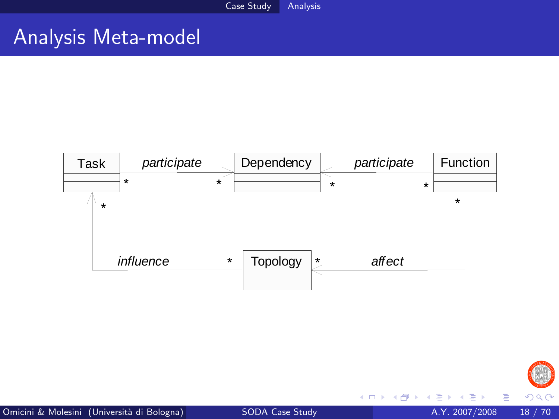#### Analysis Meta-model





4 日下

 $\mathcal{A}$  $\rightarrow$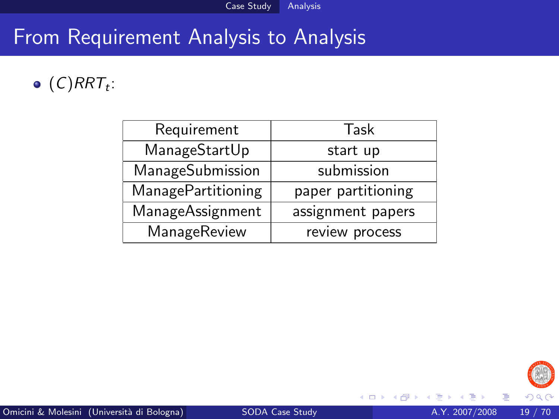#### $(C) RRT_t$ :

| Requirement               | Task               |
|---------------------------|--------------------|
| ManageStartUp             | start up           |
| ManageSubmission          | submission         |
| <b>ManagePartitioning</b> | paper partitioning |
| ManageAssignment          | assignment papers  |
| ManageReview              | review process     |



4 D F → 何 ▶ E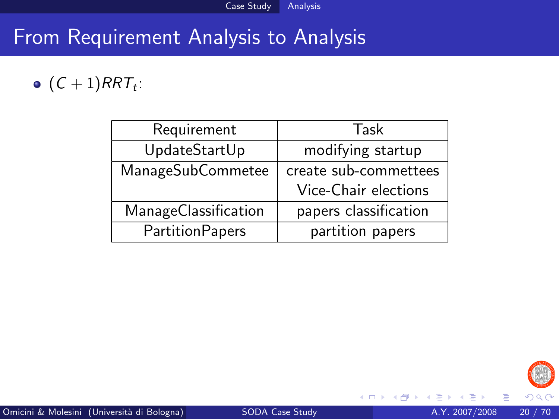#### $(C+1) RRT_t$ :

| Requirement            | Task                  |
|------------------------|-----------------------|
| UpdateStartUp          | modifying startup     |
| ManageSubCommetee      | create sub-commettees |
|                        | Vice-Chair elections  |
| ManageClassification   | papers classification |
| <b>PartitionPapers</b> | partition papers      |



4 0 8 ×.  $\rightarrow$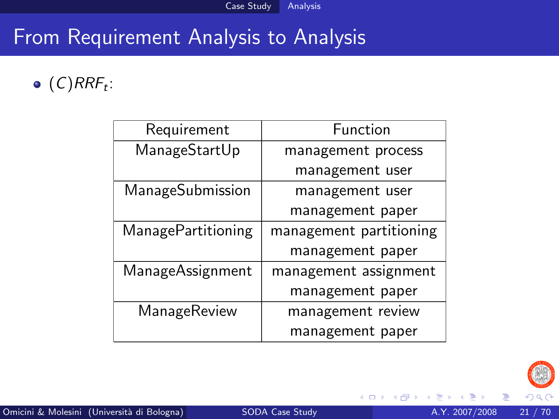$(C) RRF_t$ :

| Requirement               | Function                |
|---------------------------|-------------------------|
| ManageStartUp             | management process      |
|                           | management user         |
| ManageSubmission          | management user         |
|                           | management paper        |
| <b>ManagePartitioning</b> | management partitioning |
|                           | management paper        |
| ManageAssignment          | management assignment   |
|                           | management paper        |
| ManageReview              | management review       |
|                           | management paper        |



4 0 8

- 64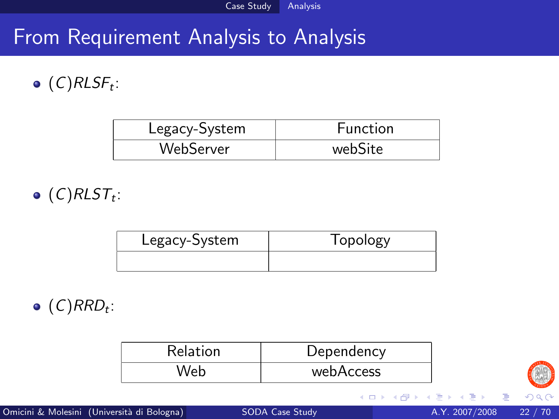$(C)$ RLS $F_t$ :

| Legacy-System | <b>Function</b> |
|---------------|-----------------|
| WebServer     | webSite         |

 $(C)$ RLS $\mathcal{T}_t$ :

| Legacy-System | Topology |
|---------------|----------|
|               |          |

 $(C)$ RRD<sub>t</sub>:

| Relation | Dependency |
|----------|------------|
|          | webAccess  |



4 D F → 何 ▶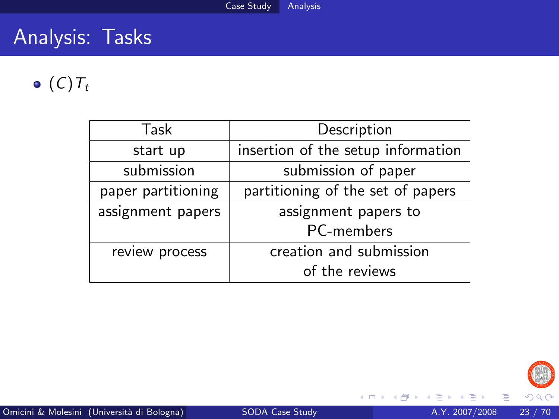## Analysis: Tasks

 $\bullet$  (C)  $T_t$ 

| Task               | Description                        |
|--------------------|------------------------------------|
| start up           | insertion of the setup information |
| submission         | submission of paper                |
| paper partitioning | partitioning of the set of papers  |
| assignment papers  | assignment papers to               |
|                    | PC-members                         |
| review process     | creation and submission            |
|                    | of the reviews                     |



澄後 天涯

**K ロ ト K 伊 ト K** 

重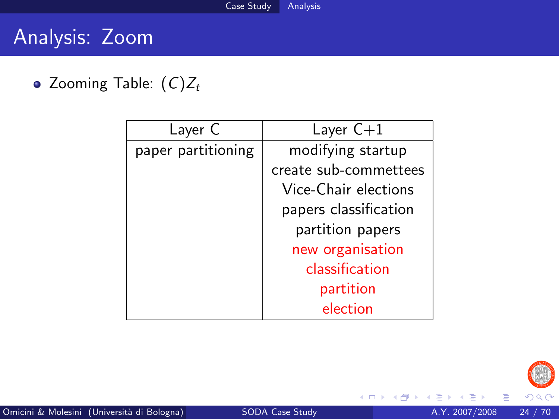## Analysis: Zoom

• Zooming Table:  $(C)Z_t$ 

| Layer C            | Layer $C+1$           |
|--------------------|-----------------------|
| paper partitioning | modifying startup     |
|                    | create sub-commettees |
|                    | Vice-Chair elections  |
|                    | papers classification |
|                    | partition papers      |
|                    | new organisation      |
|                    | classification        |
|                    | partition             |
|                    | election              |



 $\mathcal{A}$ 

活

**∢ ロ ≯ ( 伊 )** -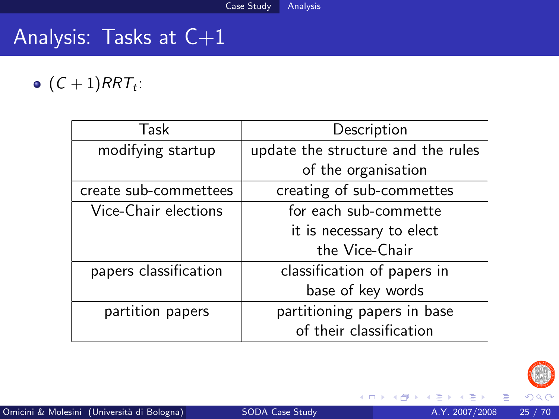# Analysis: Tasks at C+1

 $(C+1) RRT_t$ :

| Task                  | Description                        |
|-----------------------|------------------------------------|
| modifying startup     | update the structure and the rules |
|                       | of the organisation                |
| create sub-commettees | creating of sub-commettes          |
| Vice-Chair elections  | for each sub-commette              |
|                       | it is necessary to elect           |
|                       | the Vice-Chair                     |
| papers classification | classification of papers in        |
|                       | base of key words                  |
| partition papers      | partitioning papers in base        |
|                       | of their classification            |



4 0 8

**∢ 向 →** 

活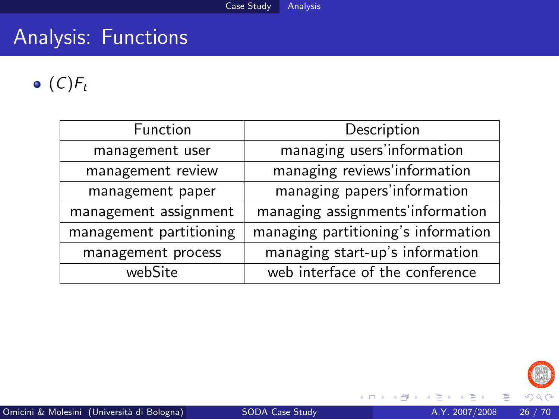# Analysis: Functions

 $\bullet$  (C) $F_t$ 

| <b>Function</b>         | Description                         |
|-------------------------|-------------------------------------|
| management user         | managing users'information          |
| management review       | managing reviews'information        |
| management paper        | managing papers'information         |
| management assignment   | managing assignments'information    |
| management partitioning | managing partitioning's information |
| management process      | managing start-up's information     |
| webSite                 | web interface of the conference     |



∍ × ×

**∢ ロ ≯ ( 伊 )** -

重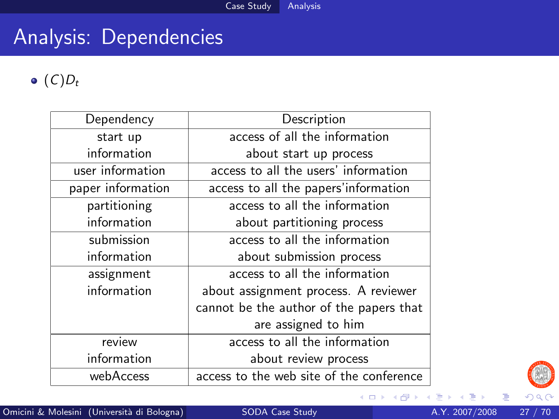# Analysis: Dependencies

 $\bullet$  (C)D<sub>t</sub>

| Dependency        | Description                              |
|-------------------|------------------------------------------|
| start up          | access of all the information            |
| information       | about start up process                   |
| user information  | access to all the users' information     |
| paper information | access to all the papers'information     |
| partitioning      | access to all the information            |
| information       | about partitioning process               |
| submission        | access to all the information            |
| information       | about submission process                 |
| assignment        | access to all the information            |
| information       | about assignment process. A reviewer     |
|                   | cannot be the author of the papers that  |
|                   | are assigned to him                      |
| review            | access to all the information            |
| information       | about review process                     |
| webAccess         | access to the web site of the conference |



重

×

∍ ×

**K ロ ト K 伊 ト K**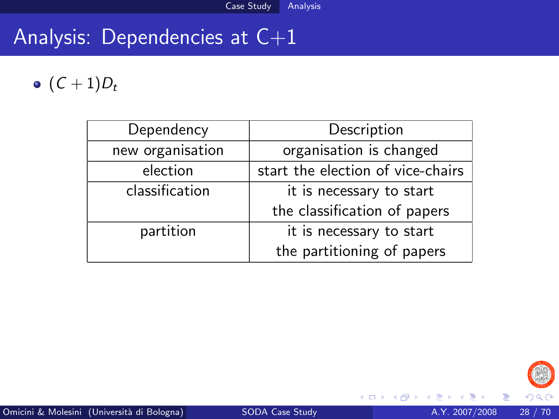# Analysis: Dependencies at C+1

#### $\bullet$   $(C + 1)D_t$

| Dependency       | Description                       |
|------------------|-----------------------------------|
| new organisation | organisation is changed           |
| election         | start the election of vice-chairs |
| classification   | it is necessary to start          |
|                  | the classification of papers      |
| partition        | it is necessary to start          |
|                  | the partitioning of papers        |



活

Þ

×

4 0 8

 $\leftarrow$   $\leftarrow$   $\leftarrow$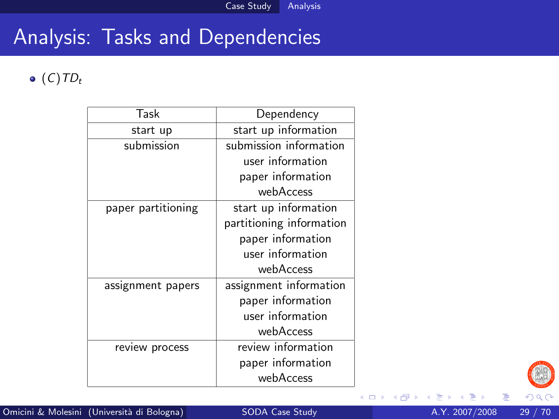# Analysis: Tasks and Dependencies

#### $\bullet$  (C)TD<sub>t</sub>

| Task               | Dependency               |
|--------------------|--------------------------|
| start up           | start up information     |
| submission         | submission information   |
|                    | user information         |
|                    | paper information        |
|                    | webAccess                |
| paper partitioning | start up information     |
|                    | partitioning information |
|                    | paper information        |
|                    | user information         |
|                    | webAccess                |
| assignment papers  | assignment information   |
|                    | paper information        |
|                    | user information         |
|                    | webAccess                |
| review process     | review information       |
|                    | paper information        |
|                    | webAccess                |



4 0 8 ×  $\rightarrow$  目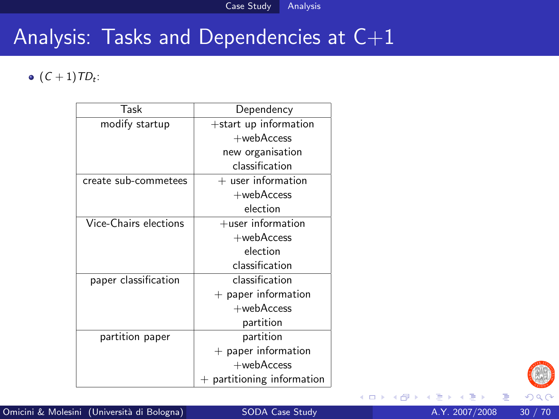## Analysis: Tasks and Dependencies at C+1

 $(C + 1) TD_t$ :

| Task                  | Dependency               |
|-----------------------|--------------------------|
| modify startup        | +start up information    |
|                       | $+$ web $A$ ccess        |
|                       | new organisation         |
|                       | classification           |
| create sub-commetees  | $+$ user information     |
|                       | $+$ web $A$ ccess        |
|                       | election                 |
| Vice-Chairs elections | $+$ user information     |
|                       | $+$ web $A$ ccess        |
|                       | election                 |
|                       | classification           |
| paper classification  | classification           |
|                       | $+$ paper information    |
|                       | $+$ web $A$ ccess        |
|                       | partition                |
| partition paper       | partition                |
|                       | $+$ paper information    |
|                       | $+$ web $A$ ccess        |
|                       | partitioning information |



×

活

**K ロ ▶ K 何 ▶**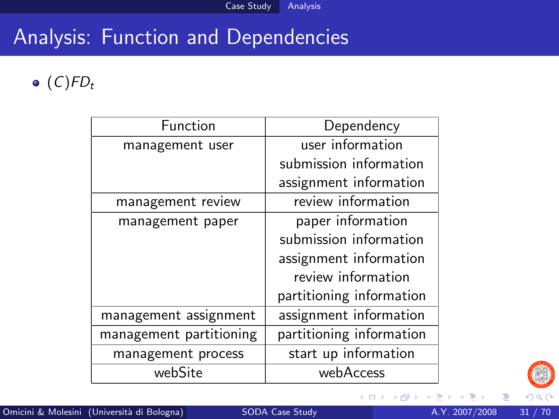# Analysis: Function and Dependencies

 $\bullet$  (C)FD<sub>t</sub>

| Function                | Dependency               |  |
|-------------------------|--------------------------|--|
| management user         | user information         |  |
|                         | submission information   |  |
|                         | assignment information   |  |
| management review       | review information       |  |
| management paper        | paper information        |  |
|                         | submission information   |  |
|                         | assignment information   |  |
|                         | review information       |  |
|                         | partitioning information |  |
| management assignment   | assignment information   |  |
| management partitioning | partitioning information |  |
| management process      | start up information     |  |
| webSite                 | webAccess                |  |



目

**K ロ ト K 伊 ト K**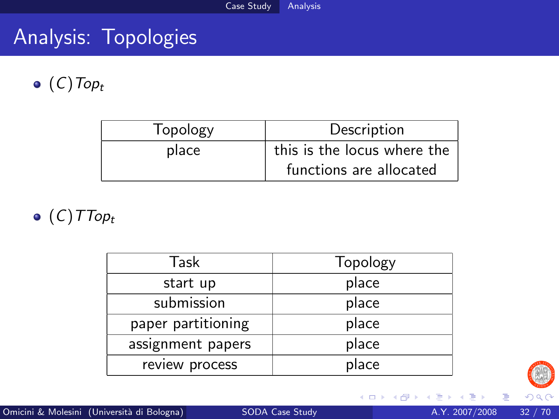## Analysis: Topologies

 $\bullet$  (C) Top<sub>t</sub>

| Topology | Description                 |
|----------|-----------------------------|
| place    | this is the locus where the |
|          | functions are allocated     |

 $\bullet$  (C) TTop<sub>t</sub>

| Task                | Topology |
|---------------------|----------|
| start up            | place    |
| submission<br>place |          |
| paper partitioning  | place    |
| assignment papers   | place    |
| review process      | place    |



э  $\rightarrow$ 

**K ロ ト K 伊 ト K** 

重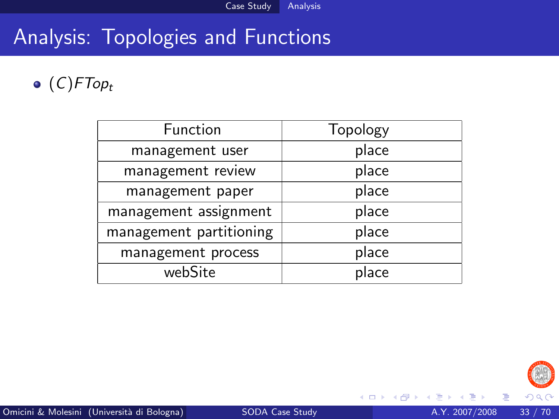## Analysis: Topologies and Functions

 $\bullet$  (C)FTop<sub>t</sub>

| Function                | Topology |  |
|-------------------------|----------|--|
| management user         | place    |  |
| management review       | place    |  |
| management paper        | place    |  |
| management assignment   | place    |  |
| management partitioning | place    |  |
| management process      | place    |  |
| webSite                 | place    |  |



×  $\rightarrow$  活

**4 ロト 4 何 ト 4**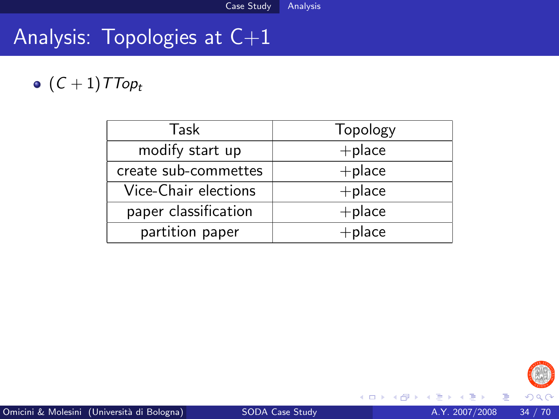# Analysis: Topologies at C+1

## $\bullet$   $(C + 1)$ TTop<sub>t</sub>

| Topology<br>Task                  |           |
|-----------------------------------|-----------|
| modify start up                   | $+$ place |
| create sub-commettes<br>$+$ place |           |
| Vice-Chair elections              | $+$ place |
| paper classification              | $+$ place |
| partition paper                   | $+$ place |



э ×  $\rightarrow$ 

**K ロ ト K 伊 ト K** 

重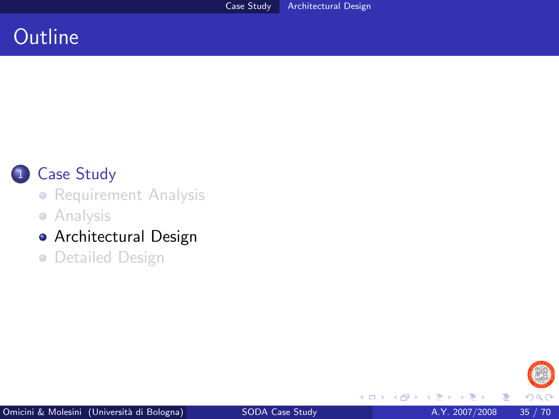### **Outline**



#### 1 [Case Study](#page-2-0)

**•** [Requirement Analysis](#page-6-0)

**•** [Analysis](#page-16-0)

#### [Architectural Design](#page-34-0)

**• [Detailed Design](#page-56-0)** 

<span id="page-34-0"></span>

4 0 8 ×  $\rightarrow$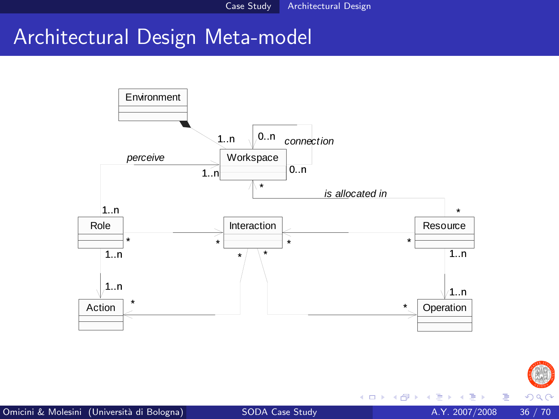#### Architectural Design Meta-model





4 日下

 $\mathcal{A}$  $\rightarrow$   $\mathcal{A}$ 

Þ

 $299$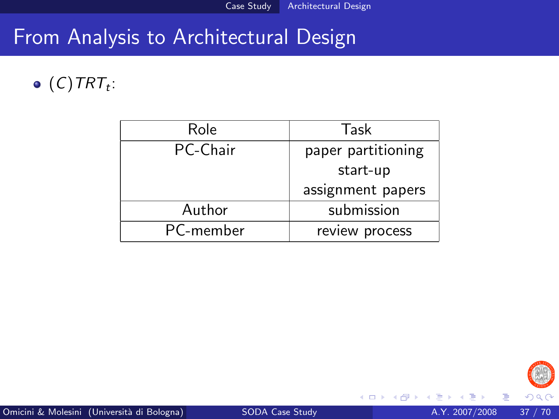#### From Analysis to Architectural Design

#### $(C)$ TRT<sub>t</sub>:

| Role      | Task               |
|-----------|--------------------|
| PC-Chair  | paper partitioning |
|           | start-up           |
|           | assignment papers  |
| Author    | submission         |
| PC-member | review process     |



4 0 8 ×.  $\rightarrow$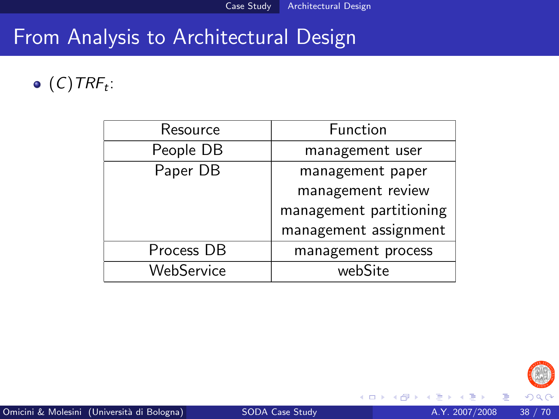## From Analysis to Architectural Design

#### $(C)$ TRF<sub>t</sub>:

| Resource   | Function                |
|------------|-------------------------|
| People DB  | management user         |
| Paper DB   | management paper        |
|            | management review       |
|            | management partitioning |
|            | management assignment   |
| Process DB | management process      |
| WebService | webSite                 |



Þ

4 0 8 ×.  $\rightarrow$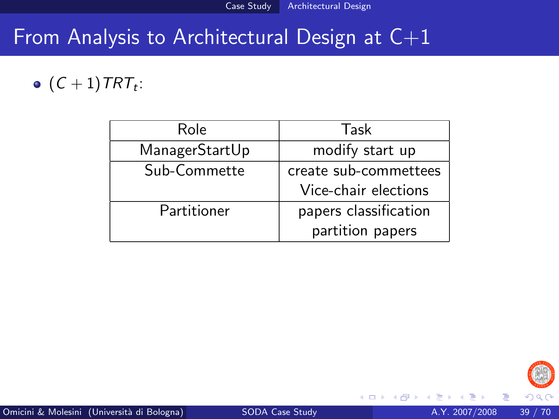# From Analysis to Architectural Design at C+1

#### $(C+1)$ TRT<sub>t</sub>:

| Role           | Task                  |
|----------------|-----------------------|
| ManagerStartUp | modify start up       |
| Sub-Commette   | create sub-commettees |
|                | Vice-chair elections  |
| Partitioner    | papers classification |
|                | partition papers      |



4 0 8

э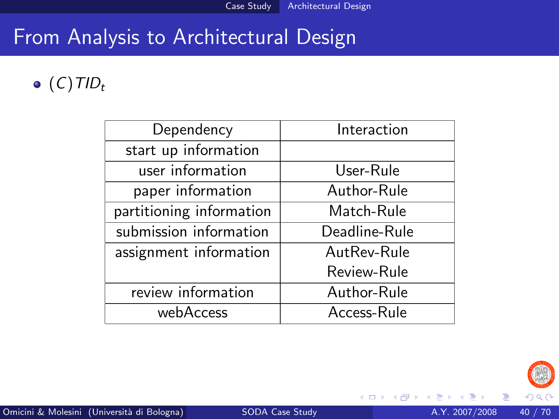### From Analysis to Architectural Design

#### $\bullet$  (C)TID<sub>t</sub>

| Dependency               | Interaction   |  |
|--------------------------|---------------|--|
| start up information     |               |  |
| user information         | User-Rule     |  |
| paper information        | Author-Rule   |  |
| partitioning information | Match-Rule    |  |
| submission information   | Deadline-Rule |  |
| assignment information   | AutRev-Rule   |  |
|                          | Review-Rule   |  |
| review information       | Author-Rule   |  |
| webAccess                | Access-Rule   |  |



4 0 8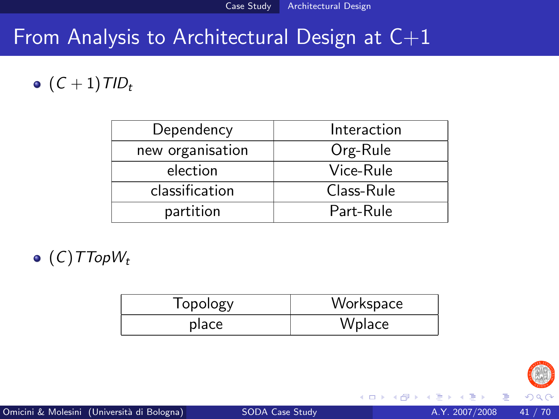## From Analysis to Architectural Design at  $C+1$

#### $\bullet$   $(C + 1)$  TID<sub>t</sub>

| Dependency       | Interaction |
|------------------|-------------|
| new organisation | Org-Rule    |
| election         | Vice-Rule   |
| classification   | Class-Rule  |
| partition        | Part-Rule   |

 $\bullet$  (C)TTopW<sub>t</sub>

| Topology | Workspace |
|----------|-----------|
| place    | Wplace    |



4 0 8

ÆP ⊳

Þ

 $\Omega$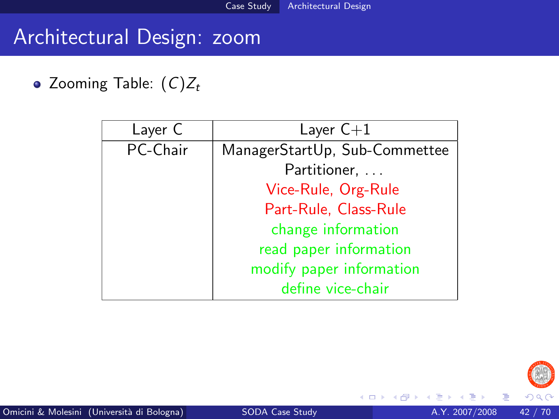#### Architectural Design: zoom

• Zooming Table:  $(C)Z_t$ 

| Layer C  | Layer $C+1$                   |
|----------|-------------------------------|
| PC-Chair | ManagerStartUp, Sub-Commettee |
|          | Partitioner,                  |
|          | Vice-Rule, Org-Rule           |
|          | Part-Rule, Class-Rule         |
|          | change information            |
|          | read paper information        |
|          | modify paper information      |
|          | define vice-chair             |



4 0 8

- 12

目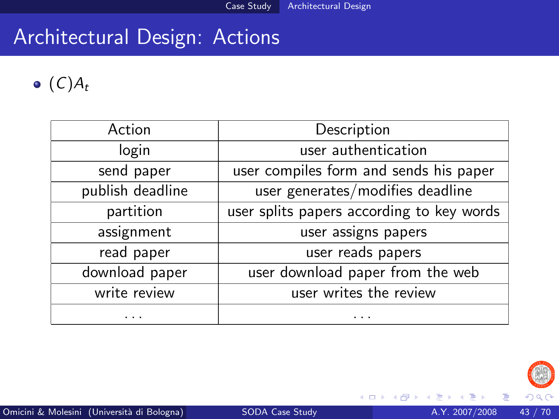#### Architectural Design: Actions

#### $\bullet$   $(C)A_t$

| Action           | Description                               |
|------------------|-------------------------------------------|
| login            | user authentication                       |
| send paper       | user compiles form and sends his paper    |
| publish deadline | user generates/modifies deadline          |
| partition        | user splits papers according to key words |
| assignment       | user assigns papers                       |
| read paper       | user reads papers                         |
| download paper   | user download paper from the web          |
| write review     | user writes the review                    |
|                  | .                                         |



×

活

**∢ ロ ▶ 《 伊 》**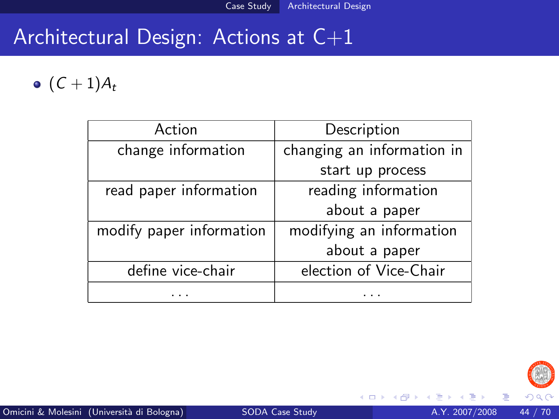## Architectural Design: Actions at C+1

•  $(C + 1)A_t$ 

| Action                   | Description                |
|--------------------------|----------------------------|
| change information       | changing an information in |
|                          | start up process           |
| read paper information   | reading information        |
|                          | about a paper              |
| modify paper information | modifying an information   |
|                          | about a paper              |
| define vice-chair        | election of Vice-Chair     |
|                          |                            |



4 0 8

 $\rightarrow$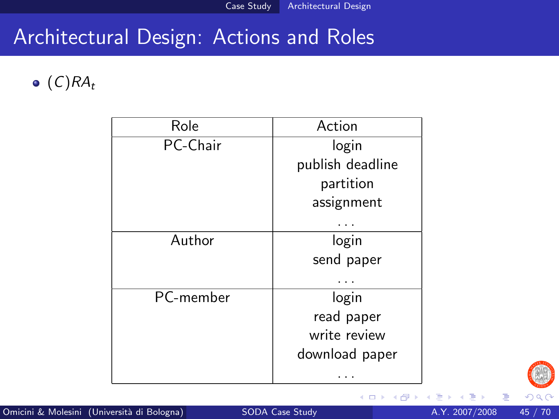#### Architectural Design: Actions and Roles

 $\bullet$  (C)RA<sub>t</sub>

| Role      | Action           |
|-----------|------------------|
| PC-Chair  | login            |
|           | publish deadline |
|           | partition        |
|           | assignment       |
|           |                  |
| Author    | login            |
|           | send paper       |
|           |                  |
| PC-member | login            |
|           | read paper       |
|           | write review     |
|           | download paper   |
|           |                  |



 $\leftarrow$   $\Box$ 

 $\leftarrow$   $\leftarrow$   $\leftarrow$ 

E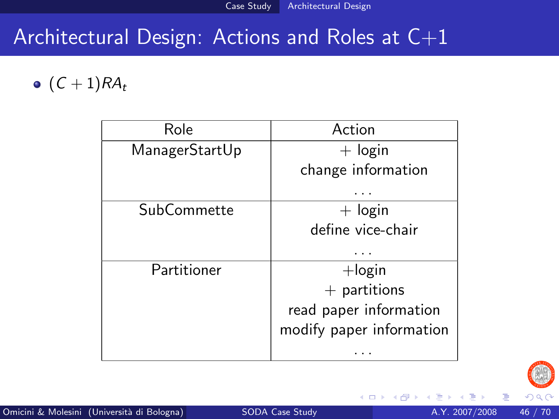## Architectural Design: Actions and Roles at C+1

 $\bullet$   $(C + 1)RA_t$ 

| Role           | Action                   |
|----------------|--------------------------|
| ManagerStartUp | $+$ login                |
|                | change information       |
|                |                          |
| SubCommette    | $+$ login                |
|                | define vice-chair        |
|                |                          |
| Partitioner    | $+$ login                |
|                | $+$ partitions           |
|                | read paper information   |
|                | modify paper information |
|                |                          |



4 0 8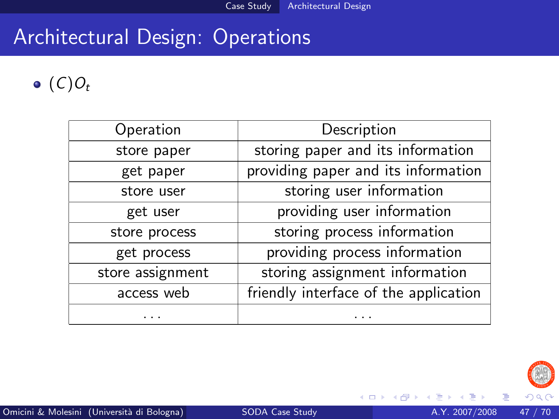# Architectural Design: Operations

#### $\bullet$  (C)O<sub>t</sub>

| Operation        | Description                           |
|------------------|---------------------------------------|
| store paper      | storing paper and its information     |
| get paper        | providing paper and its information   |
| store user       | storing user information              |
| get user         | providing user information            |
| store process    | storing process information           |
| get process      | providing process information         |
| store assignment | storing assignment information        |
| access web       | friendly interface of the application |
|                  |                                       |



4 0 8

**SILLER** 

目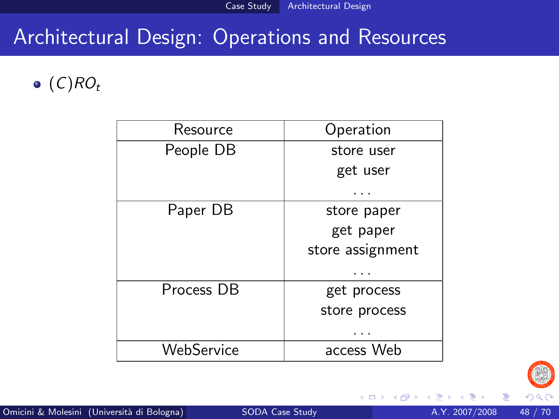### Architectural Design: Operations and Resources

#### $\bullet$  (C)RO<sub>t</sub>

| Resource   | Operation        |
|------------|------------------|
| People DB  | store user       |
|            | get user         |
|            |                  |
| Paper DB   | store paper      |
|            | get paper        |
|            | store assignment |
|            |                  |
| Process DB | get process      |
|            | store process    |
|            |                  |
| WebService | access Web       |



4 0 8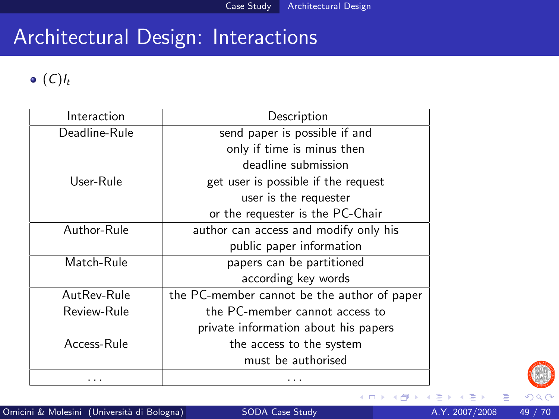#### Architectural Design: Interactions

#### $\bullet$  (C) $I_t$

| Interaction   | Description                                 |
|---------------|---------------------------------------------|
| Deadline-Rule | send paper is possible if and               |
|               | only if time is minus then                  |
|               | deadline submission                         |
| User-Rule     | get user is possible if the request         |
|               | user is the requester                       |
|               | or the requester is the PC-Chair            |
| Author-Rule   | author can access and modify only his       |
|               | public paper information                    |
| Match-Rule    | papers can be partitioned                   |
|               | according key words                         |
| AutRev-Rule   | the PC-member cannot be the author of paper |
| Review-Rule   | the PC-member cannot access to              |
|               | private information about his papers        |
| Access-Rule   | the access to the system                    |
|               | must be authorised                          |
|               | .                                           |



目

**K ロ ⊁ K 倒 ≯ K**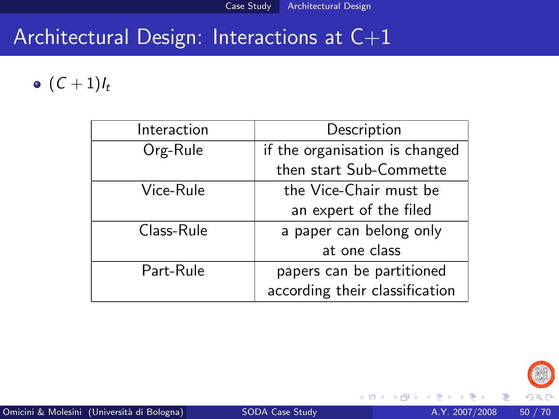## Architectural Design: Interactions at C+1

#### $\bullet$   $(C + 1)I_t$

| Interaction | Description                    |
|-------------|--------------------------------|
| Org-Rule    | if the organisation is changed |
|             | then start Sub-Commette        |
| Vice-Rule   | the Vice-Chair must be         |
|             | an expert of the filed         |
| Class-Rule  | a paper can belong only        |
|             | at one class                   |
| Part-Rule   | papers can be partitioned      |
|             | according their classification |



4 0 8

 $\rightarrow$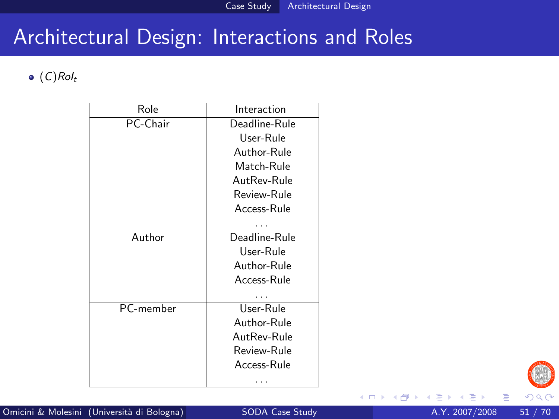#### Architectural Design: Interactions and Roles

#### $\bullet$  (C)Rol<sub>t</sub>

| Role      | Interaction   |
|-----------|---------------|
| PC-Chair  | Deadline-Rule |
|           | User-Rule     |
|           | Author-Rule   |
|           | Match-Rule    |
|           | AutRev-Rule   |
|           | Review-Rule   |
|           | Access-Rule   |
|           |               |
| Author    | Deadline-Rule |
|           | User-Rule     |
|           | Author-Rule   |
|           | Access-Rule   |
|           |               |
| PC-member | User-Rule     |
|           | Author-Rule   |
|           | AutRev-Rule   |
|           | Review-Rule   |
|           | Access-Rule   |
|           |               |



4 0 8

**SILLER**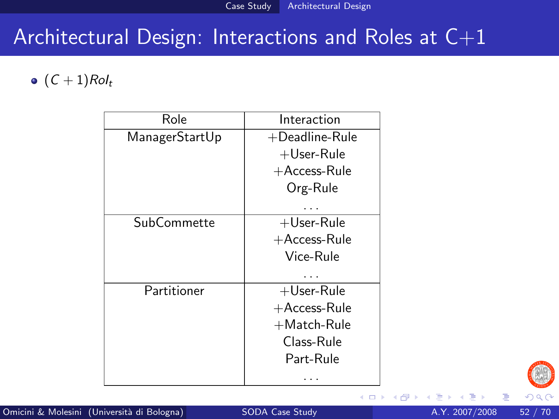## Architectural Design: Interactions and Roles at C+1

#### $\bullet$   $(C + 1)Rol_t$

| Interaction       |
|-------------------|
| $+$ Deadline-Rule |
| $+$ User-Rule     |
| $+A$ ccess-Rule   |
| Org-Rule          |
|                   |
| $+$ User-Rule     |
| $+A$ ccess-Rule   |
| Vice-Rule         |
|                   |
| $+$ User-Rule     |
| $+A$ ccess-Rule   |
| $+$ Match-Rule    |
| Class-Rule        |
| Part-Rule         |
|                   |
|                   |



4.0.3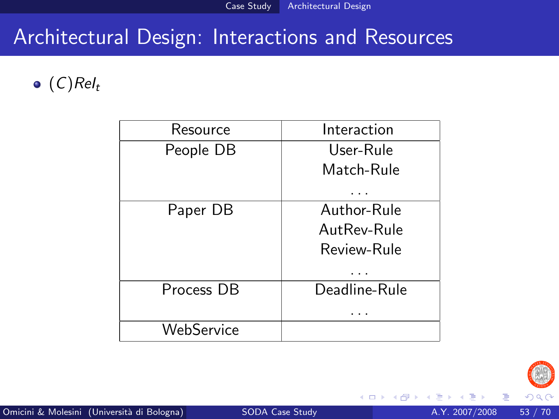## Architectural Design: Interactions and Resources

#### $\bullet$  (C)ReI<sub>t</sub>

| Resource   | Interaction   |
|------------|---------------|
| People DB  | User-Rule     |
|            | Match-Rule    |
|            |               |
| Paper DB   | Author-Rule   |
|            | AutRev-Rule   |
|            | Review-Rule   |
|            |               |
| Process DB | Deadline-Rule |
|            |               |
| WebService |               |



4 0 8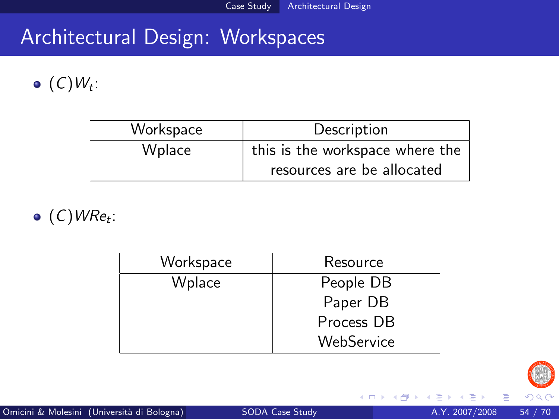# Architectural Design: Workspaces

#### $(C)W_t$ :

| Workspace | Description                     |
|-----------|---------------------------------|
| Wplace    | this is the workspace where the |
|           | resources are be allocated      |

 $(C)$ WRe<sub>t</sub>:

| Workspace | Resource   |
|-----------|------------|
| Wplace    | People DB  |
|           | Paper DB   |
|           | Process DB |
|           | WebService |



4 0 8

4 f →

活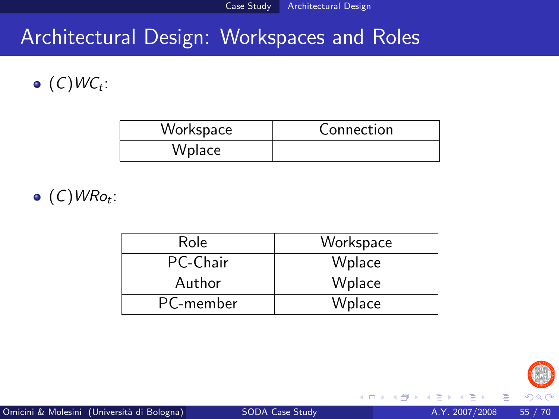# Architectural Design: Workspaces and Roles

#### $(C)$ WC<sub>t</sub>:

| Workspace | Connection |
|-----------|------------|
| Wplace    |            |

 $(C)$ WRo<sub>t</sub>:

| Role      | Workspace |
|-----------|-----------|
| PC-Chair  | Wplace    |
| Author    | Wplace    |
| PC-member | Wplace    |



4 0 8

**∢ 何 ≯ →** 

目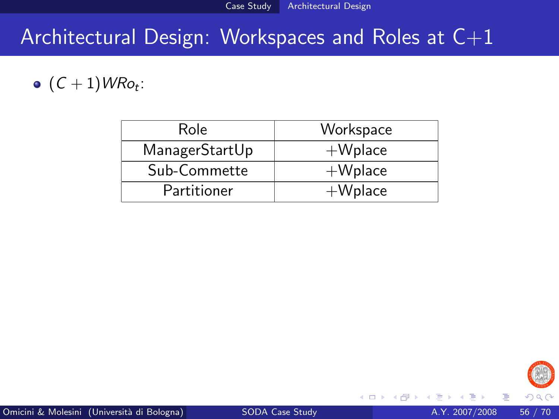## Architectural Design: Workspaces and Roles at  $C+1$

#### $(C+1)$ WRo<sub>t</sub>:

| Role           | Workspace  |
|----------------|------------|
| ManagerStartUp | $+W$ place |
| Sub-Commette   | $+W$ place |
| Partitioner    | $+W$ place |



4 0 8

э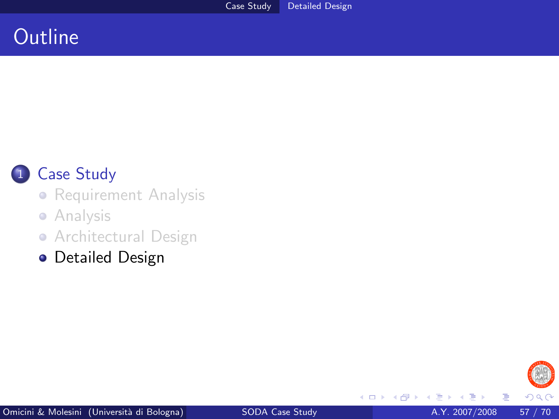#### **Outline**



#### 1 [Case Study](#page-2-0)

**•** [Requirement Analysis](#page-6-0)

#### **•** [Analysis](#page-16-0)

• [Architectural Design](#page-34-0)

**•** [Detailed Design](#page-56-0)

<span id="page-56-0"></span>

4 0 8 × *一*一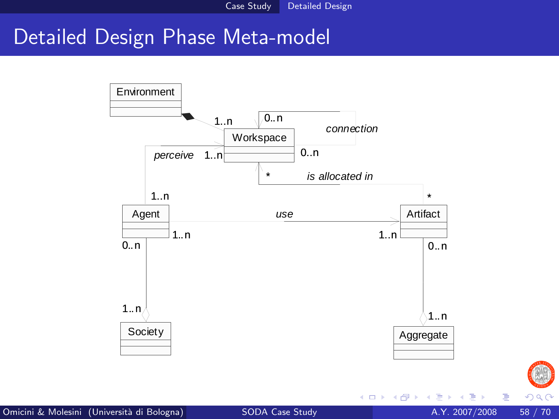Case Study Detailed Design

#### Detailed Design Phase Meta-model



Omicini & Molesini (Università di Bologna) [SODA Case Study](#page-0-0) A.Y. 2007/2008 58 / 70

Þ

 $299$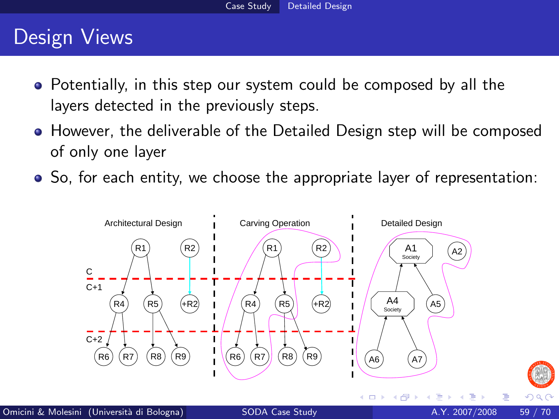#### Design Views

- Potentially, in this step our system could be composed by all the layers detected in the previously steps.
- However, the deliverable of the Detailed Design step will be composed of only one layer
- So, for each entity, we choose the appropriate layer of representation:



 $290$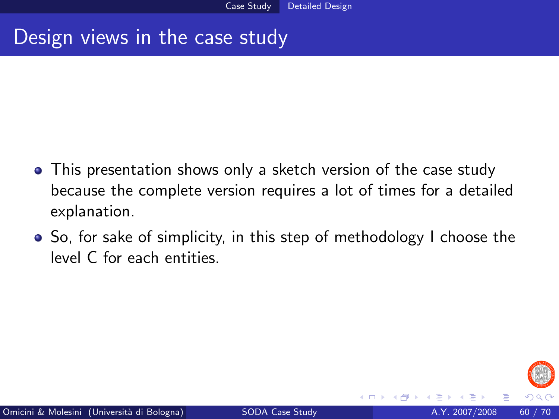#### Design views in the case study

- This presentation shows only a sketch version of the case study because the complete version requires a lot of times for a detailed explanation.
- So, for sake of simplicity, in this step of methodology I choose the level C for each entities.

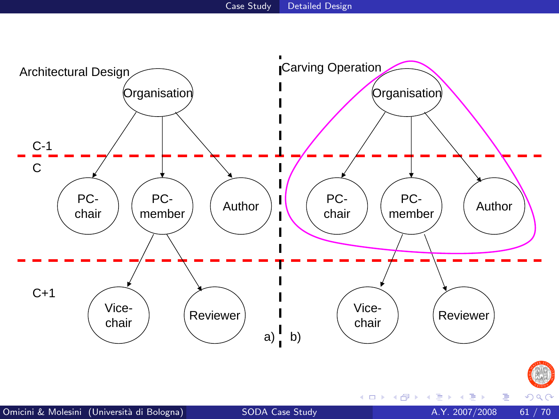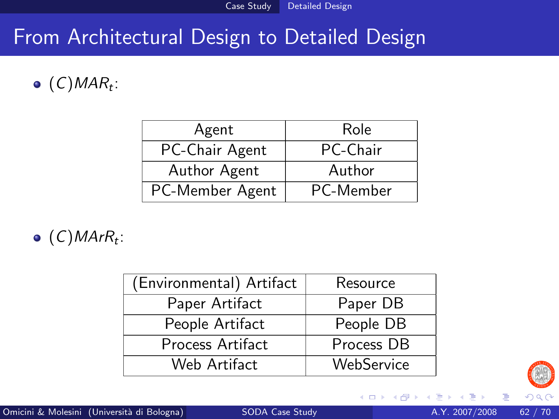## From Architectural Design to Detailed Design

#### $(C)$ MAR<sub>t</sub>:

| Agent           | Role      |
|-----------------|-----------|
| PC-Chair Agent  | PC-Chair  |
| Author Agent    | Author    |
| PC-Member Agent | PC-Member |

 $(C)$ MAr $R_t$ :

| (Environmental) Artifact | Resource   |
|--------------------------|------------|
| Paper Artifact           | Paper DB   |
| People Artifact          | People DB  |
| Process Artifact         | Process DB |
| Web Artifact             | WebService |



4 0 8

← →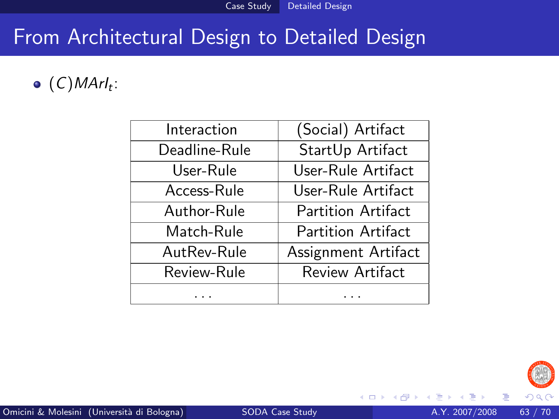## From Architectural Design to Detailed Design

#### $(C)$ MArl<sub>t</sub>:

| Interaction   | (Social) Artifact         |
|---------------|---------------------------|
| Deadline-Rule | StartUp Artifact          |
| User-Rule     | User-Rule Artifact        |
| Access-Rule   | User-Rule Artifact        |
| Author-Rule   | <b>Partition Artifact</b> |
| Match-Rule    | Partition Artifact        |
| AutRev-Rule   | Assignment Artifact       |
| Review-Rule   | Review Artifact           |
|               |                           |



4 0 8 ×.  $\rightarrow$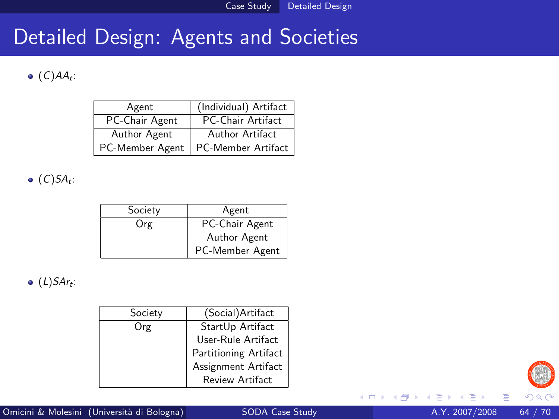#### Detailed Design: Agents and Societies

#### $(C)AA_t$ :

| Agent           | (Individual) Artifact     |
|-----------------|---------------------------|
| PC-Chair Agent  | PC-Chair Artifact         |
| Author Agent    | Author Artifact           |
| PC-Member Agent | <b>PC-Member Artifact</b> |

 $(C)SA_t$ :

| Society | Agent           |
|---------|-----------------|
| Org     | PC-Chair Agent  |
|         | Author Agent    |
|         | PC-Member Agent |

 $(L)$ SAr<sub>t</sub>:

| Society | (Social)Artifact      |
|---------|-----------------------|
| Org     | StartUp Artifact      |
|         | User-Rule Artifact    |
|         | Partitioning Artifact |
|         | Assignment Artifact   |
|         | Review Artifact       |



4 0 8

 $\leftarrow$   $\leftarrow$   $\leftarrow$ 

 $\mathcal{A}$ 

活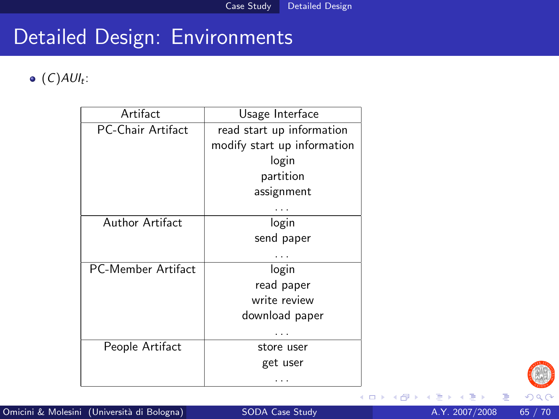$(C)$ AUI<sub>t</sub>:

| Artifact                  | Usage Interface             |
|---------------------------|-----------------------------|
| <b>PC-Chair Artifact</b>  | read start up information   |
|                           | modify start up information |
|                           | login                       |
|                           | partition                   |
|                           | assignment                  |
|                           |                             |
| Author Artifact           | login                       |
|                           | send paper                  |
|                           |                             |
| <b>PC-Member Artifact</b> | login                       |
|                           | read paper                  |
|                           | write review                |
|                           | download paper              |
|                           |                             |
| People Artifact           | store user                  |
|                           | get user                    |
|                           |                             |



4 D F

- 64

目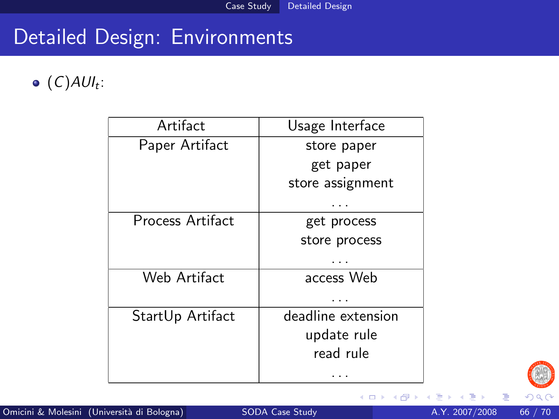$(C)$ AUI<sub>t</sub>:

| Artifact         | Usage Interface    |
|------------------|--------------------|
| Paper Artifact   | store paper        |
|                  | get paper          |
|                  | store assignment   |
|                  |                    |
| Process Artifact | get process        |
|                  | store process      |
|                  |                    |
| Web Artifact     | access Web         |
|                  |                    |
| StartUp Artifact | deadline extension |
|                  | update rule        |
|                  | read rule          |
|                  |                    |



∍

活

**≮ロ ▶ ⊀ 伊 ▶ ⊀**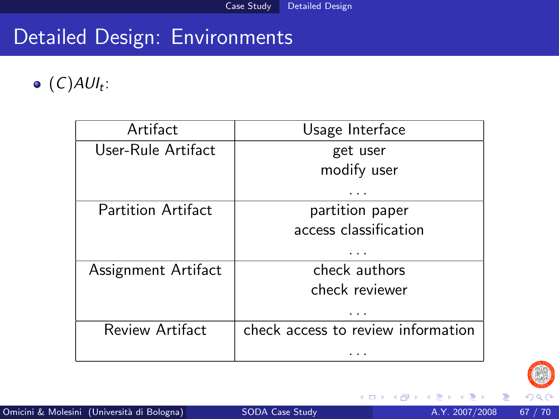#### $(C)$ AUI<sub>t</sub>:

| Usage Interface                    |
|------------------------------------|
| get user                           |
| modify user                        |
|                                    |
| partition paper                    |
| access classification              |
|                                    |
| check authors                      |
| check reviewer                     |
| .                                  |
| check access to review information |
|                                    |
|                                    |



4 0 8 ×  $\rightarrow$  目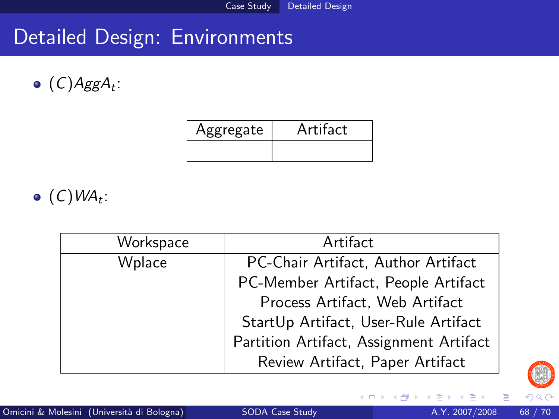$(C)AggA_t$ :

| pprepate | Artitact |
|----------|----------|
|          |          |

 $(C)$ WA<sub>t</sub>:

| Workspace | Artifact                                |
|-----------|-----------------------------------------|
| Wplace    | PC-Chair Artifact, Author Artifact      |
|           | PC-Member Artifact, People Artifact     |
|           | Process Artifact, Web Artifact          |
|           | StartUp Artifact, User-Rule Artifact    |
|           | Partition Artifact, Assignment Artifact |
|           | Review Artifact, Paper Artifact         |



4 0 8

4 f →

活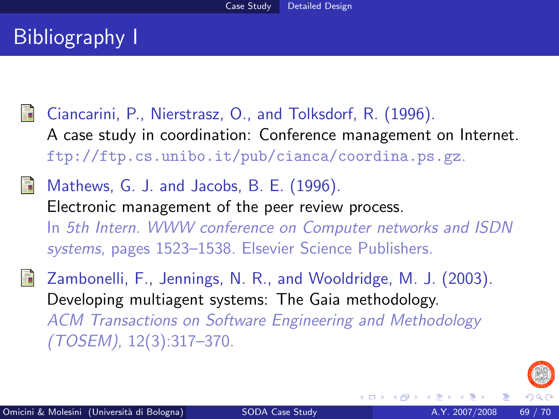## Bibliography I

- <span id="page-68-2"></span>Ciancarini, P., Nierstrasz, O., and Tolksdorf, R. (1996). A case study in coordination: Conference management on Internet. ftp://ftp.cs.unibo.it/pub/cianca/coordina.ps.gz.
- <span id="page-68-1"></span>Mathews, G. J. and Jacobs, B. E. (1996). Electronic management of the peer review process. In 5th Intern. WWW conference on Computer networks and ISDN systems, pages 1523–1538. Elsevier Science Publishers.
- <span id="page-68-0"></span>Zambonelli, F., Jennings, N. R., and Wooldridge, M. J. (2003). Developing multiagent systems: The Gaia methodology. ACM Transactions on Software Engineering and Methodology (TOSEM), 12(3):317–370.



4 D F